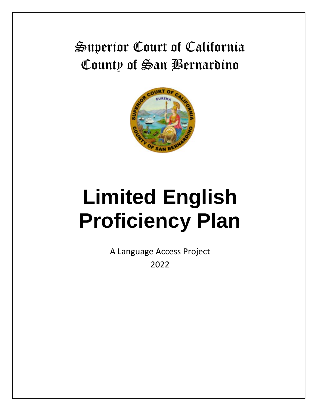# Superior Court of California County of San Bernardino



# **Limited English Proficiency Plan**

A Language Access Project 2022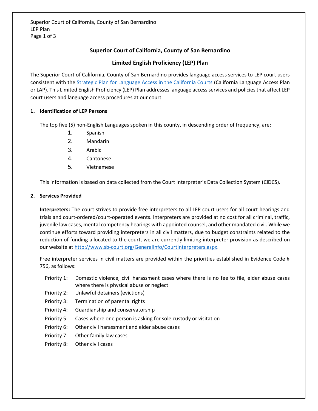# **Superior Court of California, County of San Bernardino**

## **Limited English Proficiency (LEP) Plan**

The Superior Court of California, County of San Bernardino provides language access services to LEP court users consistent with th[e Strategic Plan for Language Access in the California Courts](http://www.courts.ca.gov/documents/CLASP_report_060514.pdf) (California Language Access Plan or LAP). This Limited English Proficiency (LEP) Plan addresses language access services and policies that affect LEP court users and language access procedures at our court.

### **1. Identification of LEP Persons**

The top five (5) non-English Languages spoken in this county, in descending order of frequency, are:

- 1. Spanish
- 2. Mandarin
- 3. Arabic
- 4. Cantonese
- 5. Vietnamese

This information is based on data collected from the Court Interpreter's Data Collection System (CIDCS).

#### **2. Services Provided**

**Interpreters:** The court strives to provide free interpreters to all LEP court users for all court hearings and trials and court-ordered/court-operated events. Interpreters are provided at no cost for all criminal, traffic, juvenile law cases, mental competency hearings with appointed counsel, and other mandated civil. While we continue efforts toward providing interpreters in all civil matters, due to budget constraints related to the reduction of funding allocated to the court, we are currently limiting interpreter provision as described on our website a[t http://www.sb-court.org/GeneralInfo/CourtInterpreters.aspx.](http://www.sb-court.org/GeneralInfo/CourtInterpreters.aspx)

Free interpreter services in civil matters are provided within the priorities established in Evidence Code § 756, as follows:

- Priority 1: Domestic violence, civil harassment cases where there is no fee to file, elder abuse cases where there is physical abuse or neglect
- Priority 2: Unlawful detainers (evictions)
- Priority 3: Termination of parental rights
- Priority 4: Guardianship and conservatorship
- Priority 5: Cases where one person is asking for sole custody or visitation
- Priority 6: Other civil harassment and elder abuse cases
- Priority 7: Other family law cases
- Priority 8: Other civil cases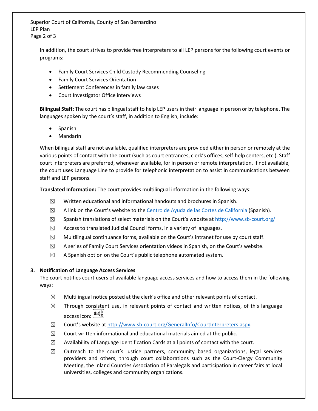Superior Court of California, County of San Bernardino LEP Plan Page 2 of 3

In addition, the court strives to provide free interpreters to all LEP persons for the following court events or programs:

- Family Court Services Child Custody Recommending Counseling
- Family Court Services Orientation
- Settlement Conferences in family law cases
- Court Investigator Office interviews

**Bilingual Staff:** The court has bilingual staff to help LEP users in their language in person or by telephone. The languages spoken by the court's staff, in addition to English, include:

- Spanish
- Mandarin

When bilingual staff are not available, qualified interpreters are provided either in person or remotely at the various points of contact with the court (such as court entrances, clerk's offices, self-help centers, etc.). Staff court interpreters are preferred, whenever available, for in person or remote interpretation. If not available, the court uses Language Line to provide for telephonic interpretation to assist in communications between staff and LEP persons.

**Translated Information:** The court provides multilingual information in the following ways:

- $\boxtimes$  Written educational and informational handouts and brochures in Spanish.
- $\boxtimes$  A link on the Court's website to th[e Centro de Ayuda de las Cortes de California](http://www.courts.ca.gov/selfhelp.htm?rdeLocaleAttr=es) (Spanish).
- $\boxtimes$  Spanish translations of select materials on the Court's website at <http://www.sb-court.org/>
- $\boxtimes$  Access to translated Judicial Council forms, in a variety of languages.
- $\boxtimes$  Multilingual continuance forms, available on the Court's intranet for use by court staff.
- $\boxtimes$  A series of Family Court Services orientation videos in Spanish, on the Court's website.
- $\boxtimes$  A Spanish option on the Court's public telephone automated system.

#### **3. Notification of Language Access Services**

The court notifies court users of available language access services and how to access them in the following ways:

- $\boxtimes$  Multilingual notice posted at the clerk's office and other relevant points of contact.
- $\boxtimes$  Through consistent use, in relevant points of contact and written notices, of this language access icon:  $\left[\frac{\blacktriangle{}}{\blacktriangle{}}\right]$
- ☒ Court's website at [http://www.sb-court.org/GeneralInfo/CourtInterpreters.aspx.](http://www.sb-court.org/GeneralInfo/CourtInterpreters.aspx)
- $\boxtimes$  Court written informational and educational materials aimed at the public.
- $\boxtimes$  Availability of Language Identification Cards at all points of contact with the court.
- $\boxtimes$  Outreach to the court's justice partners, community based organizations, legal services providers and others, through court collaborations such as the Court-Clergy Community Meeting, the Inland Counties Association of Paralegals and participation in career fairs at local universities, colleges and community organizations.